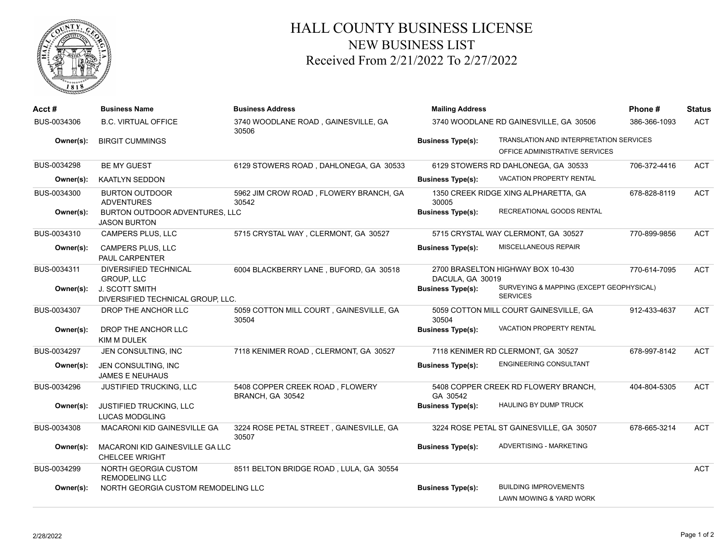

## HALL COUNTY BUSINESS LICENSE NEW BUSINESS LIST Received From 2/21/2022 To 2/27/2022

| Acct #      | <b>Business Name</b>                                         | <b>Business Address</b>                             | <b>Mailing Address</b>                 | Phone#                                                                    | <b>Status</b> |            |
|-------------|--------------------------------------------------------------|-----------------------------------------------------|----------------------------------------|---------------------------------------------------------------------------|---------------|------------|
| BUS-0034306 | <b>B.C. VIRTUAL OFFICE</b>                                   | 3740 WOODLANE ROAD, GAINESVILLE, GA<br>30506        | 3740 WOODLANE RD GAINESVILLE, GA 30506 | 386-366-1093                                                              | <b>ACT</b>    |            |
| Owner(s):   | <b>BIRGIT CUMMINGS</b>                                       |                                                     | <b>Business Type(s):</b>               | TRANSLATION AND INTERPRETATION SERVICES<br>OFFICE ADMINISTRATIVE SERVICES |               |            |
| BUS-0034298 | <b>BE MY GUEST</b>                                           | 6129 STOWERS ROAD, DAHLONEGA, GA 30533              |                                        | 6129 STOWERS RD DAHLONEGA, GA 30533                                       | 706-372-4416  | <b>ACT</b> |
| Owner(s):   | <b>KAATLYN SEDDON</b>                                        |                                                     | <b>Business Type(s):</b>               | <b>VACATION PROPERTY RENTAL</b>                                           |               |            |
| BUS-0034300 | <b>BURTON OUTDOOR</b><br><b>ADVENTURES</b>                   | 5962 JIM CROW ROAD, FLOWERY BRANCH, GA<br>30542     | 30005                                  | 1350 CREEK RIDGE XING ALPHARETTA, GA                                      | 678-828-8119  | <b>ACT</b> |
| Owner(s):   | <b>BURTON OUTDOOR ADVENTURES. LLC</b><br><b>JASON BURTON</b> |                                                     | <b>Business Type(s):</b>               | RECREATIONAL GOODS RENTAL                                                 |               |            |
| BUS-0034310 | <b>CAMPERS PLUS, LLC</b>                                     | 5715 CRYSTAL WAY, CLERMONT, GA 30527                |                                        | 5715 CRYSTAL WAY CLERMONT, GA 30527                                       | 770-899-9856  | <b>ACT</b> |
| Owner(s):   | <b>CAMPERS PLUS, LLC</b><br><b>PAUL CARPENTER</b>            |                                                     | <b>Business Type(s):</b>               | MISCELLANEOUS REPAIR                                                      |               |            |
| BUS-0034311 | <b>DIVERSIFIED TECHNICAL</b><br>GROUP, LLC                   | 6004 BLACKBERRY LANE, BUFORD, GA 30518              | DACULA, GA 30019                       | 2700 BRASELTON HIGHWAY BOX 10-430                                         | 770-614-7095  | <b>ACT</b> |
| Owner(s):   | J. SCOTT SMITH<br>DIVERSIFIED TECHNICAL GROUP, LLC.          |                                                     | <b>Business Type(s):</b>               | SURVEYING & MAPPING (EXCEPT GEOPHYSICAL)<br><b>SERVICES</b>               |               |            |
| BUS-0034307 | DROP THE ANCHOR LLC                                          | 5059 COTTON MILL COURT, GAINESVILLE, GA<br>30504    | 30504                                  | 5059 COTTON MILL COURT GAINESVILLE, GA                                    | 912-433-4637  | <b>ACT</b> |
| Owner(s):   | DROP THE ANCHOR LLC<br><b>KIM M DULEK</b>                    |                                                     | <b>Business Type(s):</b>               | VACATION PROPERTY RENTAL                                                  |               |            |
| BUS-0034297 | JEN CONSULTING, INC                                          | 7118 KENIMER ROAD, CLERMONT, GA 30527               |                                        | 7118 KENIMER RD CLERMONT, GA 30527                                        | 678-997-8142  | <b>ACT</b> |
| Owner(s):   | JEN CONSULTING, INC<br><b>JAMES E NEUHAUS</b>                |                                                     | <b>Business Type(s):</b>               | <b>ENGINEERING CONSULTANT</b>                                             |               |            |
| BUS-0034296 | JUSTIFIED TRUCKING, LLC                                      | 5408 COPPER CREEK ROAD, FLOWERY<br>BRANCH, GA 30542 | GA 30542                               | 5408 COPPER CREEK RD FLOWERY BRANCH,                                      | 404-804-5305  | <b>ACT</b> |
| Owner(s):   | JUSTIFIED TRUCKING, LLC<br><b>LUCAS MODGLING</b>             |                                                     | <b>Business Type(s):</b>               | <b>HAULING BY DUMP TRUCK</b>                                              |               |            |
| BUS-0034308 | MACARONI KID GAINESVILLE GA                                  | 3224 ROSE PETAL STREET, GAINESVILLE, GA<br>30507    |                                        | 3224 ROSE PETAL ST GAINESVILLE, GA 30507                                  | 678-665-3214  | <b>ACT</b> |
| Owner(s):   | MACARONI KID GAINESVILLE GA LLC<br><b>CHELCEE WRIGHT</b>     |                                                     | <b>Business Type(s):</b>               | ADVERTISING - MARKETING                                                   |               |            |
| BUS-0034299 | NORTH GEORGIA CUSTOM<br><b>REMODELING LLC</b>                | 8511 BELTON BRIDGE ROAD, LULA, GA 30554             |                                        |                                                                           |               | <b>ACT</b> |
| Owner(s):   | NORTH GEORGIA CUSTOM REMODELING LLC                          |                                                     | <b>Business Type(s):</b>               | <b>BUILDING IMPROVEMENTS</b><br>LAWN MOWING & YARD WORK                   |               |            |